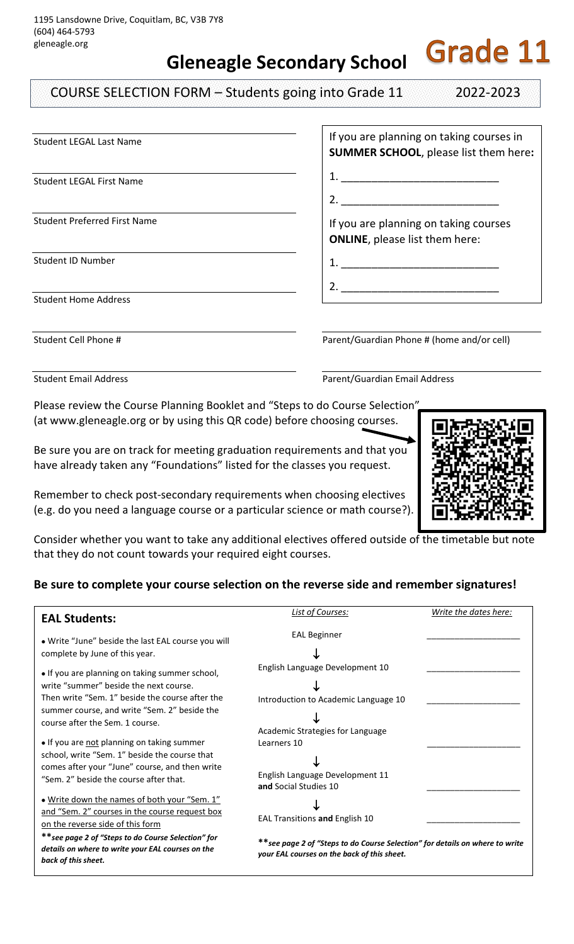**Gleneagle Secondary School**

COURSE SELECTION FORM – Students going into Grade 11 2022-2023

**Grade 11** 

| <b>Student LEGAL Last Name</b>      | If you are planning on taking courses in<br><b>SUMMER SCHOOL, please list them here:</b> |
|-------------------------------------|------------------------------------------------------------------------------------------|
| <b>Student LEGAL First Name</b>     |                                                                                          |
|                                     | 2.                                                                                       |
| <b>Student Preferred First Name</b> | If you are planning on taking courses<br><b>ONLINE</b> , please list them here:          |
| Student ID Number                   |                                                                                          |
|                                     |                                                                                          |
| <b>Student Home Address</b>         |                                                                                          |
|                                     |                                                                                          |

Student Cell Phone # **Parent/Guardian Phone # (home and/or cell)** 

Student Email Address **Parent/Guardian Email Address** Parent/Guardian Email Address

Please review the Course Planning Booklet and "Steps to do Course Selection" (at www.gleneagle.org or by using this QR code) before choosing courses.

Be sure you are on track for meeting graduation requirements and that you have already taken any "Foundations" listed for the classes you request.

Remember to check post-secondary requirements when choosing electives (e.g. do you need a language course or a particular science or math course?).



Consider whether you want to take any additional electives offered outside of the timetable but note that they do not count towards your required eight courses.

## **Be sure to complete your course selection on the reverse side and remember signatures!**

| <b>EAL Students:</b>                                                                                                                                                                                                           | List of Courses:                                                                                                            | Write the dates here: |
|--------------------------------------------------------------------------------------------------------------------------------------------------------------------------------------------------------------------------------|-----------------------------------------------------------------------------------------------------------------------------|-----------------------|
| . Write "June" beside the last EAL course you will<br>complete by June of this year.                                                                                                                                           | <b>EAL Beginner</b>                                                                                                         |                       |
| • If you are planning on taking summer school,<br>write "summer" beside the next course.<br>Then write "Sem. 1" beside the course after the<br>summer course, and write "Sem. 2" beside the<br>course after the Sem. 1 course. | English Language Development 10<br>Introduction to Academic Language 10                                                     |                       |
| • If you are not planning on taking summer<br>school, write "Sem. 1" beside the course that<br>comes after your "June" course, and then write<br>"Sem. 2" beside the course after that.                                        | Academic Strategies for Language<br>Learners 10<br>English Language Development 11<br>and Social Studies 10                 |                       |
| . Write down the names of both your "Sem. 1"<br>and "Sem. 2" courses in the course request box<br>on the reverse side of this form                                                                                             | EAL Transitions and English 10                                                                                              |                       |
| ** see page 2 of "Steps to do Course Selection" for<br>details on where to write your EAL courses on the<br>back of this sheet.                                                                                                | **see page 2 of "Steps to do Course Selection" for details on where to write<br>your EAL courses on the back of this sheet. |                       |